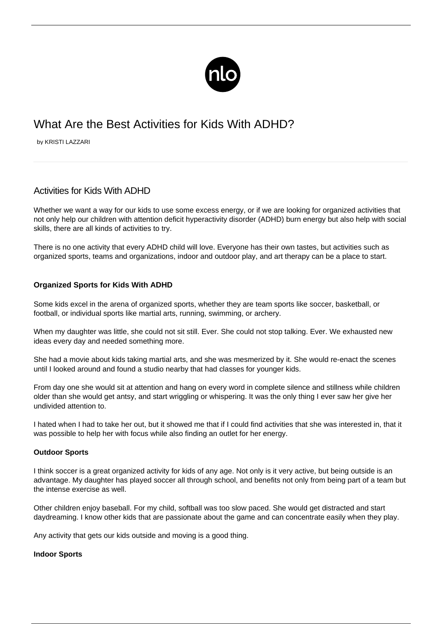

# What Are the Best Activities for Kids With ADHD?

by KRISTI LAZZARI

# Activities for Kids With ADHD

Whether we want a way for our kids to use some excess energy, or if we are looking for organized activities that not only help our children with [attention deficit hyperactivity disorder \(ADHD\)](/what-is-adhd/) burn energy but also help with social skills, there are all kinds of activities to try.

There is no one activity that every ADHD child will love. Everyone has their own tastes, but activities such as organized sports, teams and organizations, indoor and outdoor play, and art therapy can be a place to start.

## **Organized Sports for Kids With ADHD**

Some kids excel in the arena of organized sports, whether they are team sports like soccer, basketball, or football, or individual sports like martial arts, running, swimming, or archery.

When my daughter was little, she could not sit still. Ever. She could not stop talking. Ever. We exhausted new ideas every day and needed something more.

She had a movie about kids taking martial arts, and she was mesmerized by it. She would re-enact the scenes until I looked around and found a studio nearby that had classes for younger kids.

From day one she would sit at attention and hang on every word in complete silence and stillness while children older than she would get antsy, and start wriggling or whispering. It was the only thing I ever saw her give her undivided attention to.

I hated when I had to take her out, but it showed me that if I could find activities that she was interested in, that it was possible to help her with focus while also finding an outlet for her energy.

#### **Outdoor Sports**

I think soccer is a great organized activity for kids of any age. Not only is it very active, but being outside is an advantage. My daughter has played soccer all through school, and benefits not only from being part of a team but the intense exercise as well.

Other children enjoy baseball. For my child, softball was too slow paced. She would get distracted and start daydreaming. I know other kids that are passionate about the game and can concentrate easily when they play.

Any activity that gets our kids outside and moving is a good thing.

#### **Indoor Sports**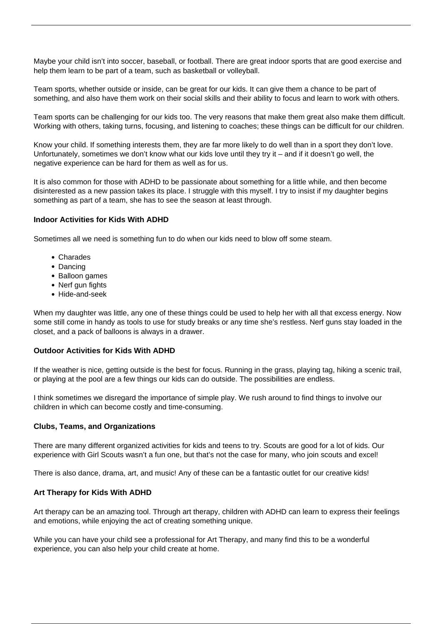Maybe your child isn't into soccer, baseball, or football. There are great indoor sports that are good exercise and help them learn to be part of a team, such as basketball or volleyball.

Team sports, whether outside or inside, can be great for our kids. It can give them a chance to be part of something, and also have them work on their social skills and their ability to focus and learn to work with others.

Team sports can be challenging for our kids too. The very reasons that make them great also make them difficult. Working with others, taking turns, focusing, and listening to coaches; these things can be difficult for our children.

Know your child. If something interests them, they are far more likely to do well than in a sport they don't love. Unfortunately, sometimes we don't know what our kids love until they try it – and if it doesn't go well, the negative experience can be hard for them as well as for us.

It is also common for those with ADHD to be passionate about something for a little while, and then become disinterested as a new passion takes its place. I struggle with this myself. I try to insist if my daughter begins something as part of a team, she has to see the season at least through.

#### **Indoor Activities for Kids With ADHD**

Sometimes all we need is something fun to do when our kids need to blow off some steam.

- Charades
- Dancing
- Balloon games
- Nerf gun fights
- Hide-and-seek

When my daughter was little, any one of these things could be used to help her with all that excess energy. Now some still come in handy as tools to use for study breaks or any time she's restless. Nerf guns stay loaded in the closet, and a pack of balloons is always in a drawer.

#### **Outdoor Activities for Kids With ADHD**

If the weather is nice, getting outside is the best for focus. Running in the grass, playing tag, hiking a scenic trail, or playing at the pool are a few things our kids can do outside. The possibilities are endless.

I think sometimes we disregard the importance of simple play. We rush around to find things to involve our children in which can become costly and time-consuming.

#### **Clubs, Teams, and Organizations**

There are many different organized activities for kids and teens to try. Scouts are good for a lot of kids. Our experience with Girl Scouts wasn't a fun one, but that's not the case for many, who join scouts and excel!

There is also dance, drama, art, and music! Any of these can be a fantastic outlet for our creative kids!

#### **Art Therapy for Kids With ADHD**

Art therapy can be an amazing tool. Through art therapy, children with ADHD can learn to express their feelings and emotions, while enjoying the act of creating something unique.

While you can have your child see a professional for Art Therapy, and many find this to be a wonderful experience, you can also help your child create at home.